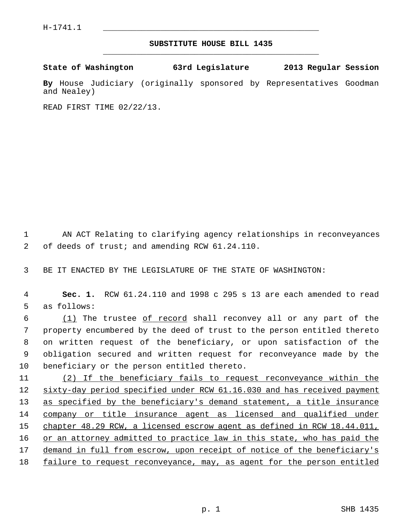## **SUBSTITUTE HOUSE BILL 1435** \_\_\_\_\_\_\_\_\_\_\_\_\_\_\_\_\_\_\_\_\_\_\_\_\_\_\_\_\_\_\_\_\_\_\_\_\_\_\_\_\_\_\_\_\_

**State of Washington 63rd Legislature 2013 Regular Session**

**By** House Judiciary (originally sponsored by Representatives Goodman and Nealey)

READ FIRST TIME 02/22/13.

 1 AN ACT Relating to clarifying agency relationships in reconveyances 2 of deeds of trust; and amending RCW 61.24.110.

3 BE IT ENACTED BY THE LEGISLATURE OF THE STATE OF WASHINGTON:

 4 **Sec. 1.** RCW 61.24.110 and 1998 c 295 s 13 are each amended to read 5 as follows:

 6 (1) The trustee of record shall reconvey all or any part of the 7 property encumbered by the deed of trust to the person entitled thereto 8 on written request of the beneficiary, or upon satisfaction of the 9 obligation secured and written request for reconveyance made by the 10 beneficiary or the person entitled thereto.

11 (2) If the beneficiary fails to request reconveyance within the 12 sixty-day period specified under RCW 61.16.030 and has received payment 13 as specified by the beneficiary's demand statement, a title insurance 14 company or title insurance agent as licensed and qualified under 15 chapter 48.29 RCW, a licensed escrow agent as defined in RCW 18.44.011, 16 or an attorney admitted to practice law in this state, who has paid the 17 demand in full from escrow, upon receipt of notice of the beneficiary's 18 failure to request reconveyance, may, as agent for the person entitled